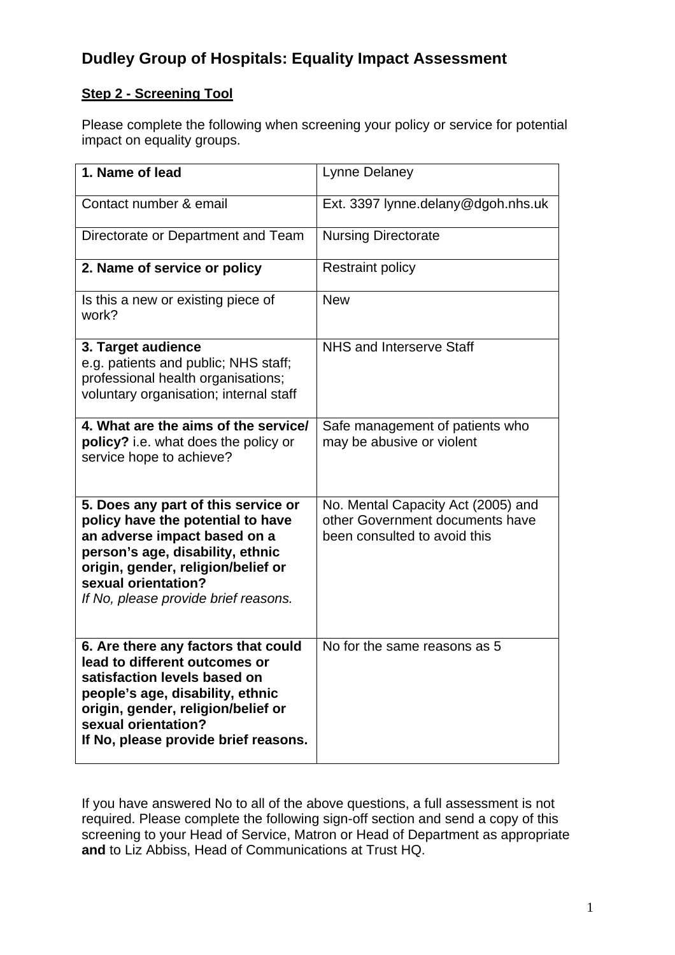# **Dudley Group of Hospitals: Equality Impact Assessment**

#### **Step 2 - Screening Tool**

Please complete the following when screening your policy or service for potential impact on equality groups.

| 1. Name of lead                                                                                                                                                                                                                                   | <b>Lynne Delaney</b>                                                                                  |
|---------------------------------------------------------------------------------------------------------------------------------------------------------------------------------------------------------------------------------------------------|-------------------------------------------------------------------------------------------------------|
| Contact number & email                                                                                                                                                                                                                            | Ext. 3397 lynne.delany@dgoh.nhs.uk                                                                    |
| Directorate or Department and Team                                                                                                                                                                                                                | <b>Nursing Directorate</b>                                                                            |
| 2. Name of service or policy                                                                                                                                                                                                                      | <b>Restraint policy</b>                                                                               |
| Is this a new or existing piece of<br>work?                                                                                                                                                                                                       | <b>New</b>                                                                                            |
| 3. Target audience<br>e.g. patients and public; NHS staff;<br>professional health organisations;<br>voluntary organisation; internal staff                                                                                                        | NHS and Interserve Staff                                                                              |
| 4. What are the aims of the service/<br>policy? i.e. what does the policy or<br>service hope to achieve?                                                                                                                                          | Safe management of patients who<br>may be abusive or violent                                          |
| 5. Does any part of this service or<br>policy have the potential to have<br>an adverse impact based on a<br>person's age, disability, ethnic<br>origin, gender, religion/belief or<br>sexual orientation?<br>If No, please provide brief reasons. | No. Mental Capacity Act (2005) and<br>other Government documents have<br>been consulted to avoid this |
| 6. Are there any factors that could<br>lead to different outcomes or<br>satisfaction levels based on<br>people's age, disability, ethnic<br>origin, gender, religion/belief or<br>sexual orientation?<br>If No, please provide brief reasons.     | No for the same reasons as 5                                                                          |

If you have answered No to all of the above questions, a full assessment is not required. Please complete the following sign-off section and send a copy of this screening to your Head of Service, Matron or Head of Department as appropriate **and** to Liz Abbiss, Head of Communications at Trust HQ.